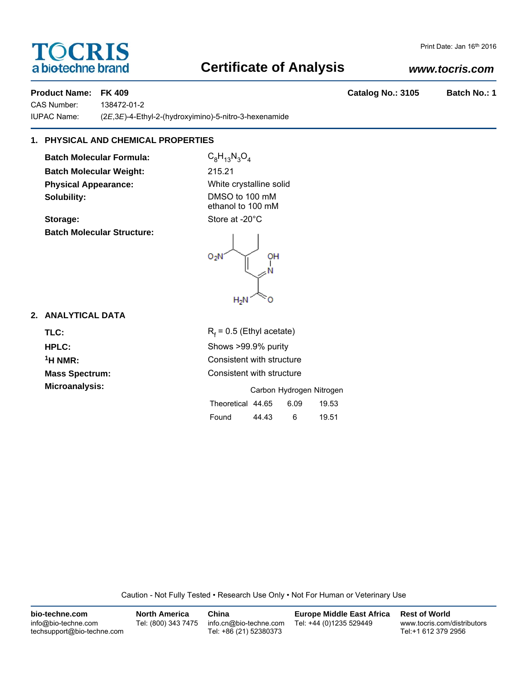# TOCRIS a biotechne brand

## **Certificate of Analysis**

## *www.tocris.com*

Print Date: Jan 16th 2016

## **Product Name: FK 409 Catalog No.: 3105 Batch No.: 1**

CAS Number: 138472-01-2 IUPAC Name: (2*E*,3*E*)-4-Ethyl-2-(hydroxyimino)-5-nitro-3-hexenamide

## **1. PHYSICAL AND CHEMICAL PROPERTIES**

**Batch Molecular Formula:** C<sub>8</sub>H<sub>13</sub>N<sub>3</sub>O<sub>4</sub> **Batch Molecular Weight:** 215.21 **Physical Appearance:** White crystalline solid **Solubility:** DMSO to 100 mM

Storage: Storage: Store at -20°C **Batch Molecular Structure:**

ethanol to 100 mM

 $O<sub>2</sub>N$ OH  $H_2N$ 

## **2. ANALYTICAL DATA**

TLC: R<sub>f</sub>

 $R_f$  = 0.5 (Ethyl acetate) **HPLC:** Shows >99.9% purity <sup>1</sup>H NMR: Consistent with structure **Mass Spectrum:** Consistent with structure

| <b>Microanalysis:</b> | Carbon Hydrogen Nitrogen |       |      |       |
|-----------------------|--------------------------|-------|------|-------|
|                       | Theoretical 44.65        |       | 6.09 | 19.53 |
|                       | Found                    | 44.43 | 6    | 19.51 |

Caution - Not Fully Tested • Research Use Only • Not For Human or Veterinary Use

| bio-techne.com                                    | <b>North America</b> | China                                            | <b>Europe Middle East Africa</b> | <b>Rest of World</b>                               |
|---------------------------------------------------|----------------------|--------------------------------------------------|----------------------------------|----------------------------------------------------|
| info@bio-techne.com<br>techsupport@bio-techne.com | Tel: (800) 343 7475  | info.cn@bio-techne.com<br>Tel: +86 (21) 52380373 | Tel: +44 (0)1235 529449          | www.tocris.com/distributors<br>Tel:+1 612 379 2956 |